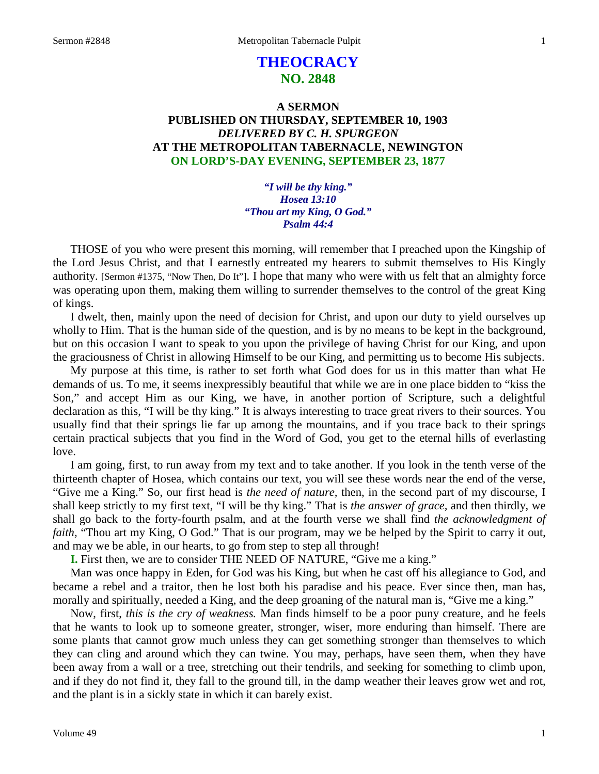# **THEOCRACY NO. 2848**

# **A SERMON PUBLISHED ON THURSDAY, SEPTEMBER 10, 1903** *DELIVERED BY C. H. SPURGEON* **AT THE METROPOLITAN TABERNACLE, NEWINGTON ON LORD'S-DAY EVENING, SEPTEMBER 23, 1877**

*"I will be thy king." Hosea 13:10 "Thou art my King, O God." Psalm 44:4*

THOSE of you who were present this morning, will remember that I preached upon the Kingship of the Lord Jesus Christ, and that I earnestly entreated my hearers to submit themselves to His Kingly authority. [Sermon #1375, "Now Then, Do It"]. I hope that many who were with us felt that an almighty force was operating upon them, making them willing to surrender themselves to the control of the great King of kings.

I dwelt, then, mainly upon the need of decision for Christ, and upon our duty to yield ourselves up wholly to Him. That is the human side of the question, and is by no means to be kept in the background, but on this occasion I want to speak to you upon the privilege of having Christ for our King, and upon the graciousness of Christ in allowing Himself to be our King, and permitting us to become His subjects.

My purpose at this time, is rather to set forth what God does for us in this matter than what He demands of us. To me, it seems inexpressibly beautiful that while we are in one place bidden to "kiss the Son," and accept Him as our King, we have, in another portion of Scripture, such a delightful declaration as this, "I will be thy king." It is always interesting to trace great rivers to their sources. You usually find that their springs lie far up among the mountains, and if you trace back to their springs certain practical subjects that you find in the Word of God, you get to the eternal hills of everlasting love.

I am going, first, to run away from my text and to take another. If you look in the tenth verse of the thirteenth chapter of Hosea, which contains our text, you will see these words near the end of the verse, "Give me a King." So, our first head is *the need of nature,* then, in the second part of my discourse, I shall keep strictly to my first text, "I will be thy king." That is *the answer of grace,* and then thirdly, we shall go back to the forty-fourth psalm, and at the fourth verse we shall find *the acknowledgment of faith*, "Thou art my King, O God." That is our program, may we be helped by the Spirit to carry it out, and may we be able, in our hearts, to go from step to step all through!

**I.** First then, we are to consider THE NEED OF NATURE, "Give me a king."

Man was once happy in Eden, for God was his King, but when he cast off his allegiance to God, and became a rebel and a traitor, then he lost both his paradise and his peace. Ever since then, man has, morally and spiritually, needed a King, and the deep groaning of the natural man is, "Give me a king."

Now, first, *this is the cry of weakness.* Man finds himself to be a poor puny creature, and he feels that he wants to look up to someone greater, stronger, wiser, more enduring than himself. There are some plants that cannot grow much unless they can get something stronger than themselves to which they can cling and around which they can twine. You may, perhaps, have seen them, when they have been away from a wall or a tree, stretching out their tendrils, and seeking for something to climb upon, and if they do not find it, they fall to the ground till, in the damp weather their leaves grow wet and rot, and the plant is in a sickly state in which it can barely exist.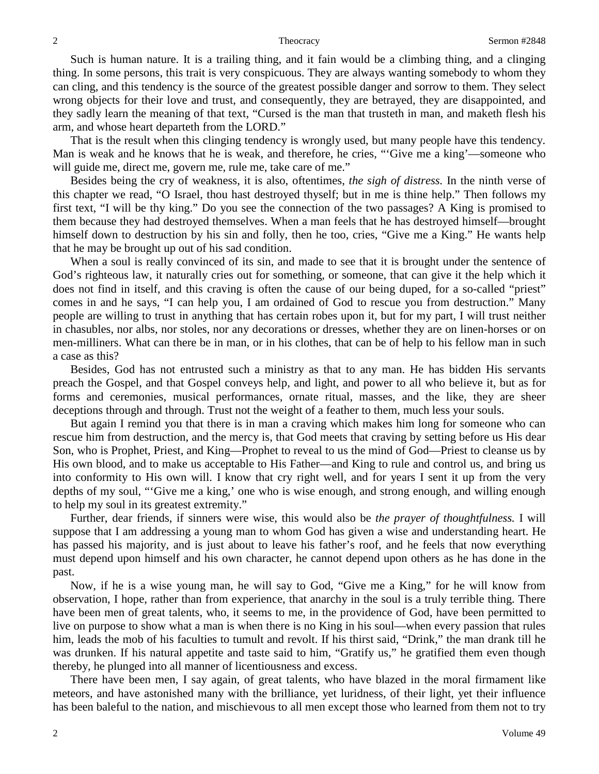Such is human nature. It is a trailing thing, and it fain would be a climbing thing, and a clinging thing. In some persons, this trait is very conspicuous. They are always wanting somebody to whom they can cling, and this tendency is the source of the greatest possible danger and sorrow to them. They select wrong objects for their love and trust, and consequently, they are betrayed, they are disappointed, and they sadly learn the meaning of that text, "Cursed is the man that trusteth in man, and maketh flesh his arm, and whose heart departeth from the LORD."

That is the result when this clinging tendency is wrongly used, but many people have this tendency. Man is weak and he knows that he is weak, and therefore, he cries, "'Give me a king'—someone who will guide me, direct me, govern me, rule me, take care of me."

Besides being the cry of weakness, it is also, oftentimes, *the sigh of distress.* In the ninth verse of this chapter we read, "O Israel, thou hast destroyed thyself; but in me is thine help." Then follows my first text, "I will be thy king." Do you see the connection of the two passages? A King is promised to them because they had destroyed themselves. When a man feels that he has destroyed himself—brought himself down to destruction by his sin and folly, then he too, cries, "Give me a King." He wants help that he may be brought up out of his sad condition.

When a soul is really convinced of its sin, and made to see that it is brought under the sentence of God's righteous law, it naturally cries out for something, or someone, that can give it the help which it does not find in itself, and this craving is often the cause of our being duped, for a so-called "priest" comes in and he says, "I can help you, I am ordained of God to rescue you from destruction." Many people are willing to trust in anything that has certain robes upon it, but for my part, I will trust neither in chasubles, nor albs, nor stoles, nor any decorations or dresses, whether they are on linen-horses or on men-milliners. What can there be in man, or in his clothes, that can be of help to his fellow man in such a case as this?

Besides, God has not entrusted such a ministry as that to any man. He has bidden His servants preach the Gospel, and that Gospel conveys help, and light, and power to all who believe it, but as for forms and ceremonies, musical performances, ornate ritual, masses, and the like, they are sheer deceptions through and through. Trust not the weight of a feather to them, much less your souls.

But again I remind you that there is in man a craving which makes him long for someone who can rescue him from destruction, and the mercy is, that God meets that craving by setting before us His dear Son, who is Prophet, Priest, and King—Prophet to reveal to us the mind of God—Priest to cleanse us by His own blood, and to make us acceptable to His Father—and King to rule and control us, and bring us into conformity to His own will. I know that cry right well, and for years I sent it up from the very depths of my soul, "'Give me a king,' one who is wise enough, and strong enough, and willing enough to help my soul in its greatest extremity."

Further, dear friends, if sinners were wise, this would also be *the prayer of thoughtfulness.* I will suppose that I am addressing a young man to whom God has given a wise and understanding heart. He has passed his majority, and is just about to leave his father's roof, and he feels that now everything must depend upon himself and his own character, he cannot depend upon others as he has done in the past.

Now, if he is a wise young man, he will say to God, "Give me a King," for he will know from observation, I hope, rather than from experience, that anarchy in the soul is a truly terrible thing. There have been men of great talents, who, it seems to me, in the providence of God, have been permitted to live on purpose to show what a man is when there is no King in his soul—when every passion that rules him, leads the mob of his faculties to tumult and revolt. If his thirst said, "Drink," the man drank till he was drunken. If his natural appetite and taste said to him, "Gratify us," he gratified them even though thereby, he plunged into all manner of licentiousness and excess.

There have been men, I say again, of great talents, who have blazed in the moral firmament like meteors, and have astonished many with the brilliance, yet luridness, of their light, yet their influence has been baleful to the nation, and mischievous to all men except those who learned from them not to try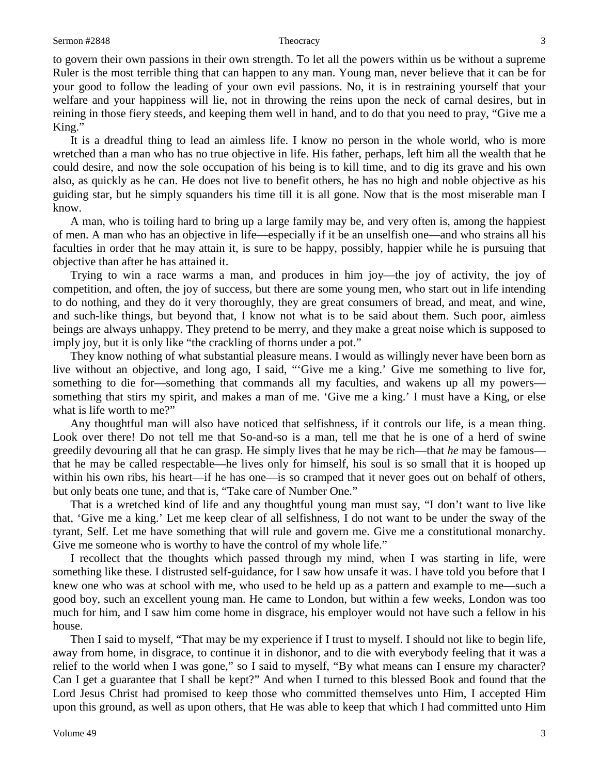### Sermon #2848 3

to govern their own passions in their own strength. To let all the powers within us be without a supreme Ruler is the most terrible thing that can happen to any man. Young man, never believe that it can be for your good to follow the leading of your own evil passions. No, it is in restraining yourself that your welfare and your happiness will lie, not in throwing the reins upon the neck of carnal desires, but in reining in those fiery steeds, and keeping them well in hand, and to do that you need to pray, "Give me a King."

It is a dreadful thing to lead an aimless life. I know no person in the whole world, who is more wretched than a man who has no true objective in life. His father, perhaps, left him all the wealth that he could desire, and now the sole occupation of his being is to kill time, and to dig its grave and his own also, as quickly as he can. He does not live to benefit others, he has no high and noble objective as his guiding star, but he simply squanders his time till it is all gone. Now that is the most miserable man I know.

A man, who is toiling hard to bring up a large family may be, and very often is, among the happiest of men. A man who has an objective in life—especially if it be an unselfish one—and who strains all his faculties in order that he may attain it, is sure to be happy, possibly, happier while he is pursuing that objective than after he has attained it.

Trying to win a race warms a man, and produces in him joy—the joy of activity, the joy of competition, and often, the joy of success, but there are some young men, who start out in life intending to do nothing, and they do it very thoroughly, they are great consumers of bread, and meat, and wine, and such-like things, but beyond that, I know not what is to be said about them. Such poor, aimless beings are always unhappy. They pretend to be merry, and they make a great noise which is supposed to imply joy, but it is only like "the crackling of thorns under a pot."

They know nothing of what substantial pleasure means. I would as willingly never have been born as live without an objective, and long ago, I said, "'Give me a king.' Give me something to live for, something to die for—something that commands all my faculties, and wakens up all my powers something that stirs my spirit, and makes a man of me. 'Give me a king.' I must have a King, or else what is life worth to me?"

Any thoughtful man will also have noticed that selfishness, if it controls our life, is a mean thing. Look over there! Do not tell me that So-and-so is a man, tell me that he is one of a herd of swine greedily devouring all that he can grasp. He simply lives that he may be rich—that *he* may be famous that he may be called respectable—he lives only for himself, his soul is so small that it is hooped up within his own ribs, his heart—if he has one—is so cramped that it never goes out on behalf of others, but only beats one tune, and that is, "Take care of Number One."

That is a wretched kind of life and any thoughtful young man must say, "I don't want to live like that, 'Give me a king.' Let me keep clear of all selfishness, I do not want to be under the sway of the tyrant, Self. Let me have something that will rule and govern me. Give me a constitutional monarchy. Give me someone who is worthy to have the control of my whole life."

I recollect that the thoughts which passed through my mind, when I was starting in life, were something like these. I distrusted self-guidance, for I saw how unsafe it was. I have told you before that I knew one who was at school with me, who used to be held up as a pattern and example to me—such a good boy, such an excellent young man. He came to London, but within a few weeks, London was too much for him, and I saw him come home in disgrace, his employer would not have such a fellow in his house.

Then I said to myself, "That may be my experience if I trust to myself. I should not like to begin life, away from home, in disgrace, to continue it in dishonor, and to die with everybody feeling that it was a relief to the world when I was gone," so I said to myself, "By what means can I ensure my character? Can I get a guarantee that I shall be kept?" And when I turned to this blessed Book and found that the Lord Jesus Christ had promised to keep those who committed themselves unto Him, I accepted Him upon this ground, as well as upon others, that He was able to keep that which I had committed unto Him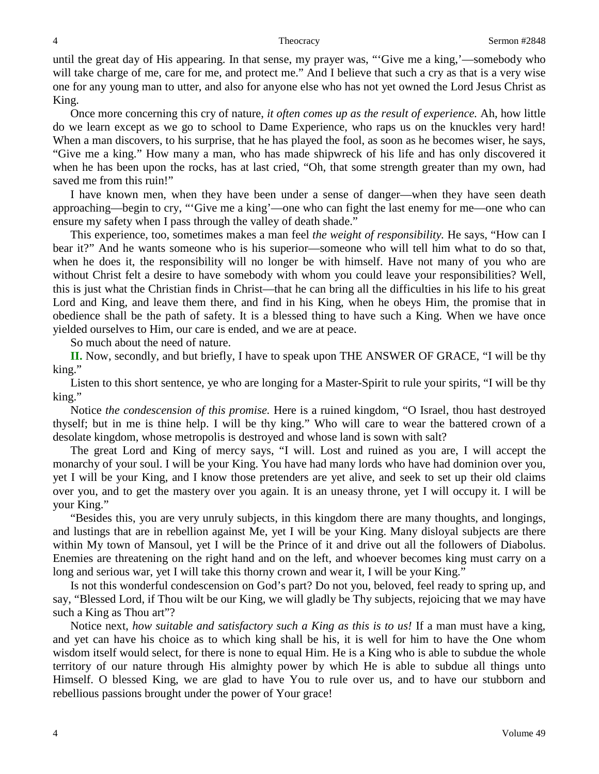until the great day of His appearing. In that sense, my prayer was, "'Give me a king,'—somebody who will take charge of me, care for me, and protect me." And I believe that such a cry as that is a very wise one for any young man to utter, and also for anyone else who has not yet owned the Lord Jesus Christ as King.

Once more concerning this cry of nature, *it often comes up as the result of experience.* Ah, how little do we learn except as we go to school to Dame Experience, who raps us on the knuckles very hard! When a man discovers, to his surprise, that he has played the fool, as soon as he becomes wiser, he says, "Give me a king." How many a man, who has made shipwreck of his life and has only discovered it when he has been upon the rocks, has at last cried, "Oh, that some strength greater than my own, had saved me from this ruin!"

I have known men, when they have been under a sense of danger—when they have seen death approaching—begin to cry, "'Give me a king'—one who can fight the last enemy for me—one who can ensure my safety when I pass through the valley of death shade."

This experience, too, sometimes makes a man feel *the weight of responsibility.* He says, "How can I bear it?" And he wants someone who is his superior—someone who will tell him what to do so that, when he does it, the responsibility will no longer be with himself. Have not many of you who are without Christ felt a desire to have somebody with whom you could leave your responsibilities? Well, this is just what the Christian finds in Christ—that he can bring all the difficulties in his life to his great Lord and King, and leave them there, and find in his King, when he obeys Him, the promise that in obedience shall be the path of safety. It is a blessed thing to have such a King. When we have once yielded ourselves to Him, our care is ended, and we are at peace.

So much about the need of nature.

**II.** Now, secondly, and but briefly, I have to speak upon THE ANSWER OF GRACE, "I will be thy king."

Listen to this short sentence, ye who are longing for a Master-Spirit to rule your spirits, "I will be thy king."

Notice *the condescension of this promise.* Here is a ruined kingdom, "O Israel, thou hast destroyed thyself; but in me is thine help. I will be thy king." Who will care to wear the battered crown of a desolate kingdom, whose metropolis is destroyed and whose land is sown with salt?

The great Lord and King of mercy says, "I will. Lost and ruined as you are, I will accept the monarchy of your soul. I will be your King. You have had many lords who have had dominion over you, yet I will be your King, and I know those pretenders are yet alive, and seek to set up their old claims over you, and to get the mastery over you again. It is an uneasy throne, yet I will occupy it. I will be your King."

"Besides this, you are very unruly subjects, in this kingdom there are many thoughts, and longings, and lustings that are in rebellion against Me, yet I will be your King. Many disloyal subjects are there within My town of Mansoul, yet I will be the Prince of it and drive out all the followers of Diabolus. Enemies are threatening on the right hand and on the left, and whoever becomes king must carry on a long and serious war, yet I will take this thorny crown and wear it, I will be your King."

Is not this wonderful condescension on God's part? Do not you, beloved, feel ready to spring up, and say, "Blessed Lord, if Thou wilt be our King, we will gladly be Thy subjects, rejoicing that we may have such a King as Thou art"?

Notice next, *how suitable and satisfactory such a King as this is to us!* If a man must have a king, and yet can have his choice as to which king shall be his, it is well for him to have the One whom wisdom itself would select, for there is none to equal Him. He is a King who is able to subdue the whole territory of our nature through His almighty power by which He is able to subdue all things unto Himself. O blessed King, we are glad to have You to rule over us, and to have our stubborn and rebellious passions brought under the power of Your grace!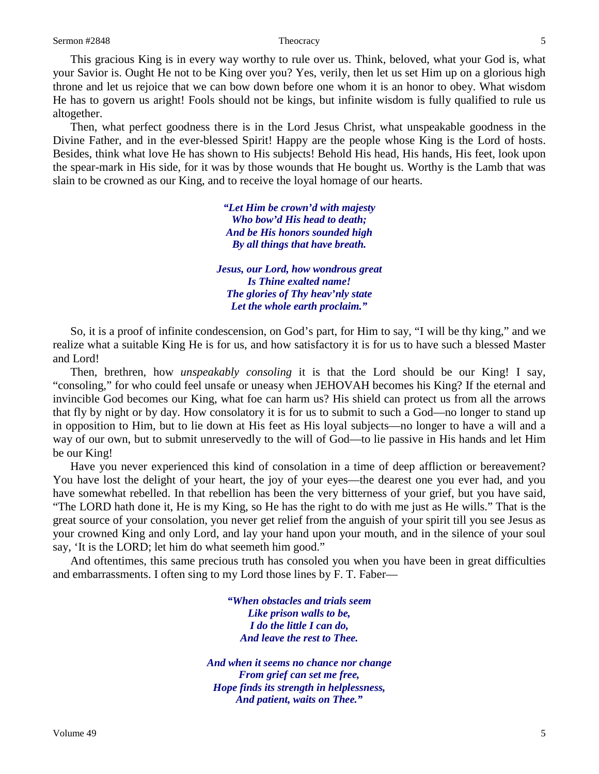This gracious King is in every way worthy to rule over us. Think, beloved, what your God is, what your Savior is. Ought He not to be King over you? Yes, verily, then let us set Him up on a glorious high throne and let us rejoice that we can bow down before one whom it is an honor to obey. What wisdom He has to govern us aright! Fools should not be kings, but infinite wisdom is fully qualified to rule us altogether.

Then, what perfect goodness there is in the Lord Jesus Christ, what unspeakable goodness in the Divine Father, and in the ever-blessed Spirit! Happy are the people whose King is the Lord of hosts. Besides, think what love He has shown to His subjects! Behold His head, His hands, His feet, look upon the spear-mark in His side, for it was by those wounds that He bought us. Worthy is the Lamb that was slain to be crowned as our King, and to receive the loyal homage of our hearts.

> *"Let Him be crown'd with majesty Who bow'd His head to death; And be His honors sounded high By all things that have breath.*

*Jesus, our Lord, how wondrous great Is Thine exalted name! The glories of Thy heav'nly state Let the whole earth proclaim."*

So, it is a proof of infinite condescension, on God's part, for Him to say, "I will be thy king," and we realize what a suitable King He is for us, and how satisfactory it is for us to have such a blessed Master and Lord!

Then, brethren, how *unspeakably consoling* it is that the Lord should be our King! I say, "consoling," for who could feel unsafe or uneasy when JEHOVAH becomes his King? If the eternal and invincible God becomes our King, what foe can harm us? His shield can protect us from all the arrows that fly by night or by day. How consolatory it is for us to submit to such a God—no longer to stand up in opposition to Him, but to lie down at His feet as His loyal subjects—no longer to have a will and a way of our own, but to submit unreservedly to the will of God—to lie passive in His hands and let Him be our King!

Have you never experienced this kind of consolation in a time of deep affliction or bereavement? You have lost the delight of your heart, the joy of your eyes—the dearest one you ever had, and you have somewhat rebelled. In that rebellion has been the very bitterness of your grief, but you have said, "The LORD hath done it, He is my King, so He has the right to do with me just as He wills." That is the great source of your consolation, you never get relief from the anguish of your spirit till you see Jesus as your crowned King and only Lord, and lay your hand upon your mouth, and in the silence of your soul say, 'It is the LORD; let him do what seemeth him good."

And oftentimes, this same precious truth has consoled you when you have been in great difficulties and embarrassments. I often sing to my Lord those lines by F. T. Faber—

> *"When obstacles and trials seem Like prison walls to be, I do the little I can do, And leave the rest to Thee.*

*And when it seems no chance nor change From grief can set me free, Hope finds its strength in helplessness, And patient, waits on Thee."*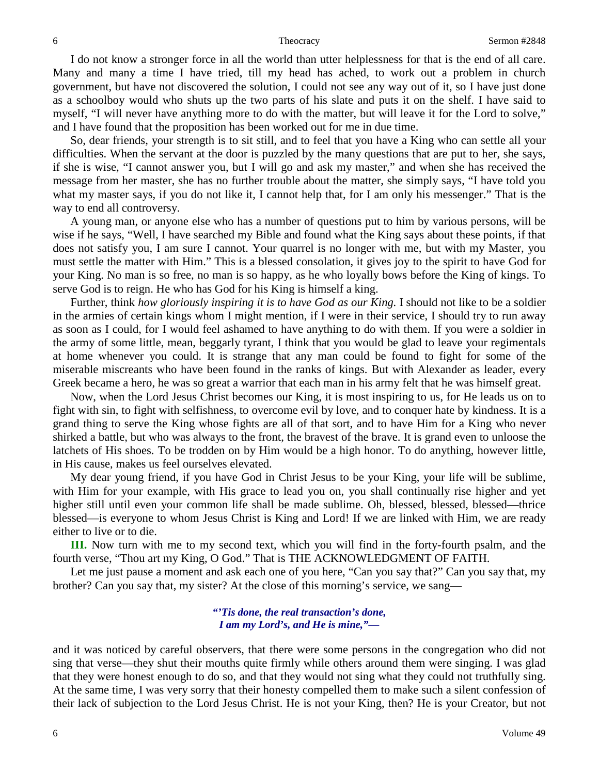I do not know a stronger force in all the world than utter helplessness for that is the end of all care. Many and many a time I have tried, till my head has ached, to work out a problem in church government, but have not discovered the solution, I could not see any way out of it, so I have just done as a schoolboy would who shuts up the two parts of his slate and puts it on the shelf. I have said to myself, "I will never have anything more to do with the matter, but will leave it for the Lord to solve," and I have found that the proposition has been worked out for me in due time.

So, dear friends, your strength is to sit still, and to feel that you have a King who can settle all your difficulties. When the servant at the door is puzzled by the many questions that are put to her, she says, if she is wise, "I cannot answer you, but I will go and ask my master," and when she has received the message from her master, she has no further trouble about the matter, she simply says, "I have told you what my master says, if you do not like it, I cannot help that, for I am only his messenger." That is the way to end all controversy.

A young man, or anyone else who has a number of questions put to him by various persons, will be wise if he says, "Well, I have searched my Bible and found what the King says about these points, if that does not satisfy you, I am sure I cannot. Your quarrel is no longer with me, but with my Master, you must settle the matter with Him." This is a blessed consolation, it gives joy to the spirit to have God for your King. No man is so free, no man is so happy, as he who loyally bows before the King of kings. To serve God is to reign. He who has God for his King is himself a king.

Further, think *how gloriously inspiring it is to have God as our King*. I should not like to be a soldier in the armies of certain kings whom I might mention, if I were in their service, I should try to run away as soon as I could, for I would feel ashamed to have anything to do with them. If you were a soldier in the army of some little, mean, beggarly tyrant, I think that you would be glad to leave your regimentals at home whenever you could. It is strange that any man could be found to fight for some of the miserable miscreants who have been found in the ranks of kings. But with Alexander as leader, every Greek became a hero, he was so great a warrior that each man in his army felt that he was himself great.

Now, when the Lord Jesus Christ becomes our King, it is most inspiring to us, for He leads us on to fight with sin, to fight with selfishness, to overcome evil by love, and to conquer hate by kindness. It is a grand thing to serve the King whose fights are all of that sort, and to have Him for a King who never shirked a battle, but who was always to the front, the bravest of the brave. It is grand even to unloose the latchets of His shoes. To be trodden on by Him would be a high honor. To do anything, however little, in His cause, makes us feel ourselves elevated.

My dear young friend, if you have God in Christ Jesus to be your King, your life will be sublime, with Him for your example, with His grace to lead you on, you shall continually rise higher and yet higher still until even your common life shall be made sublime. Oh, blessed, blessed, blessed—thrice blessed—is everyone to whom Jesus Christ is King and Lord! If we are linked with Him, we are ready either to live or to die.

**III.** Now turn with me to my second text, which you will find in the forty-fourth psalm, and the fourth verse, "Thou art my King, O God." That is THE ACKNOWLEDGMENT OF FAITH.

Let me just pause a moment and ask each one of you here, "Can you say that?" Can you say that, my brother? Can you say that, my sister? At the close of this morning's service, we sang—

> *"'Tis done, the real transaction's done, I am my Lord's, and He is mine,"—*

and it was noticed by careful observers, that there were some persons in the congregation who did not sing that verse—they shut their mouths quite firmly while others around them were singing. I was glad that they were honest enough to do so, and that they would not sing what they could not truthfully sing. At the same time, I was very sorry that their honesty compelled them to make such a silent confession of their lack of subjection to the Lord Jesus Christ. He is not your King, then? He is your Creator, but not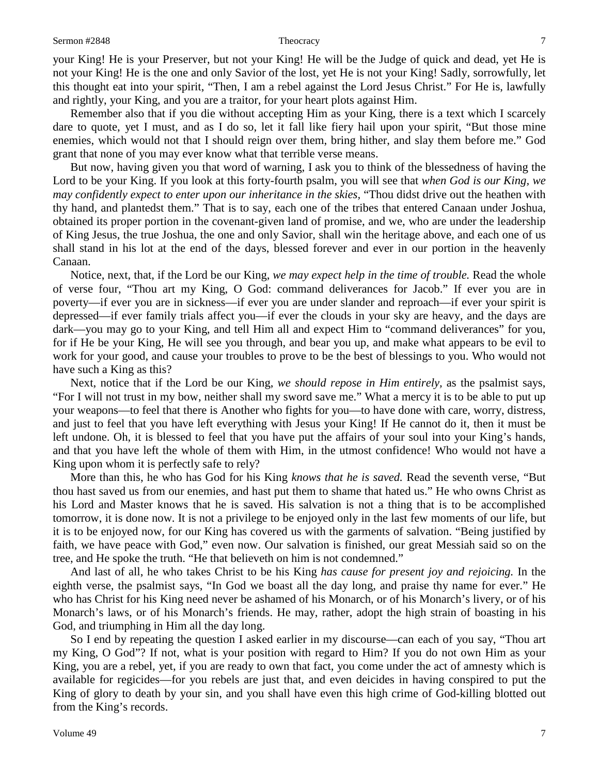your King! He is your Preserver, but not your King! He will be the Judge of quick and dead, yet He is not your King! He is the one and only Savior of the lost, yet He is not your King! Sadly, sorrowfully, let this thought eat into your spirit, "Then, I am a rebel against the Lord Jesus Christ." For He is, lawfully and rightly, your King, and you are a traitor, for your heart plots against Him.

Remember also that if you die without accepting Him as your King, there is a text which I scarcely dare to quote, yet I must, and as I do so, let it fall like fiery hail upon your spirit, "But those mine enemies, which would not that I should reign over them, bring hither, and slay them before me." God grant that none of you may ever know what that terrible verse means.

But now, having given you that word of warning, I ask you to think of the blessedness of having the Lord to be your King. If you look at this forty-fourth psalm, you will see that *when God is our King, we may confidently expect to enter upon our inheritance in the skies,* "Thou didst drive out the heathen with thy hand, and plantedst them." That is to say, each one of the tribes that entered Canaan under Joshua, obtained its proper portion in the covenant-given land of promise, and we, who are under the leadership of King Jesus, the true Joshua, the one and only Savior, shall win the heritage above, and each one of us shall stand in his lot at the end of the days, blessed forever and ever in our portion in the heavenly Canaan.

Notice, next, that, if the Lord be our King, *we may expect help in the time of trouble.* Read the whole of verse four, "Thou art my King, O God: command deliverances for Jacob." If ever you are in poverty—if ever you are in sickness—if ever you are under slander and reproach—if ever your spirit is depressed—if ever family trials affect you—if ever the clouds in your sky are heavy, and the days are dark—you may go to your King, and tell Him all and expect Him to "command deliverances" for you, for if He be your King, He will see you through, and bear you up, and make what appears to be evil to work for your good, and cause your troubles to prove to be the best of blessings to you. Who would not have such a King as this?

Next, notice that if the Lord be our King, *we should repose in Him entirely,* as the psalmist says, "For I will not trust in my bow, neither shall my sword save me." What a mercy it is to be able to put up your weapons—to feel that there is Another who fights for you—to have done with care, worry, distress, and just to feel that you have left everything with Jesus your King! If He cannot do it, then it must be left undone. Oh, it is blessed to feel that you have put the affairs of your soul into your King's hands, and that you have left the whole of them with Him, in the utmost confidence! Who would not have a King upon whom it is perfectly safe to rely?

More than this, he who has God for his King *knows that he is saved.* Read the seventh verse, "But thou hast saved us from our enemies, and hast put them to shame that hated us." He who owns Christ as his Lord and Master knows that he is saved. His salvation is not a thing that is to be accomplished tomorrow, it is done now. It is not a privilege to be enjoyed only in the last few moments of our life, but it is to be enjoyed now, for our King has covered us with the garments of salvation. "Being justified by faith, we have peace with God," even now. Our salvation is finished, our great Messiah said so on the tree, and He spoke the truth. "He that believeth on him is not condemned."

And last of all, he who takes Christ to be his King *has cause for present joy and rejoicing.* In the eighth verse, the psalmist says, "In God we boast all the day long, and praise thy name for ever." He who has Christ for his King need never be ashamed of his Monarch, or of his Monarch's livery, or of his Monarch's laws, or of his Monarch's friends. He may, rather, adopt the high strain of boasting in his God, and triumphing in Him all the day long.

So I end by repeating the question I asked earlier in my discourse—can each of you say, "Thou art my King, O God"? If not, what is your position with regard to Him? If you do not own Him as your King, you are a rebel, yet, if you are ready to own that fact, you come under the act of amnesty which is available for regicides—for you rebels are just that, and even deicides in having conspired to put the King of glory to death by your sin, and you shall have even this high crime of God-killing blotted out from the King's records.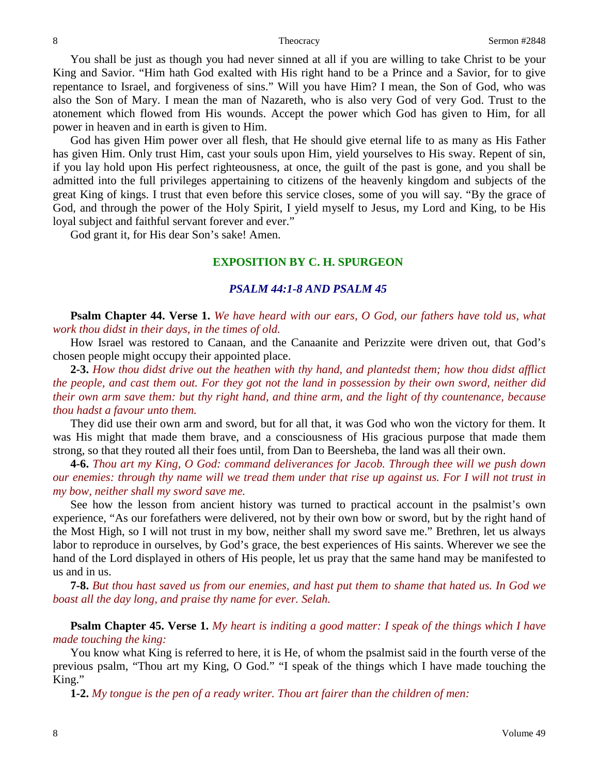You shall be just as though you had never sinned at all if you are willing to take Christ to be your King and Savior. "Him hath God exalted with His right hand to be a Prince and a Savior, for to give repentance to Israel, and forgiveness of sins." Will you have Him? I mean, the Son of God, who was also the Son of Mary. I mean the man of Nazareth, who is also very God of very God. Trust to the atonement which flowed from His wounds. Accept the power which God has given to Him, for all power in heaven and in earth is given to Him.

God has given Him power over all flesh, that He should give eternal life to as many as His Father has given Him. Only trust Him, cast your souls upon Him, yield yourselves to His sway. Repent of sin, if you lay hold upon His perfect righteousness, at once, the guilt of the past is gone, and you shall be admitted into the full privileges appertaining to citizens of the heavenly kingdom and subjects of the great King of kings. I trust that even before this service closes, some of you will say. "By the grace of God, and through the power of the Holy Spirit, I yield myself to Jesus, my Lord and King, to be His loyal subject and faithful servant forever and ever."

God grant it, for His dear Son's sake! Amen.

### **EXPOSITION BY C. H. SPURGEON**

### *PSALM 44:1-8 AND PSALM 45*

**Psalm Chapter 44. Verse 1.** *We have heard with our ears, O God, our fathers have told us, what work thou didst in their days, in the times of old.*

How Israel was restored to Canaan, and the Canaanite and Perizzite were driven out, that God's chosen people might occupy their appointed place.

**2-3.** *How thou didst drive out the heathen with thy hand, and plantedst them; how thou didst afflict the people, and cast them out. For they got not the land in possession by their own sword, neither did their own arm save them: but thy right hand, and thine arm, and the light of thy countenance, because thou hadst a favour unto them.*

They did use their own arm and sword, but for all that, it was God who won the victory for them. It was His might that made them brave, and a consciousness of His gracious purpose that made them strong, so that they routed all their foes until, from Dan to Beersheba, the land was all their own.

**4-6.** *Thou art my King, O God: command deliverances for Jacob. Through thee will we push down our enemies: through thy name will we tread them under that rise up against us. For I will not trust in my bow, neither shall my sword save me.*

See how the lesson from ancient history was turned to practical account in the psalmist's own experience, "As our forefathers were delivered, not by their own bow or sword, but by the right hand of the Most High, so I will not trust in my bow, neither shall my sword save me." Brethren, let us always labor to reproduce in ourselves, by God's grace, the best experiences of His saints. Wherever we see the hand of the Lord displayed in others of His people, let us pray that the same hand may be manifested to us and in us.

**7-8.** *But thou hast saved us from our enemies, and hast put them to shame that hated us. In God we boast all the day long, and praise thy name for ever. Selah.*

**Psalm Chapter 45. Verse 1.** *My heart is inditing a good matter: I speak of the things which I have made touching the king:*

You know what King is referred to here, it is He, of whom the psalmist said in the fourth verse of the previous psalm, "Thou art my King, O God." "I speak of the things which I have made touching the King."

**1-2.** *My tongue is the pen of a ready writer. Thou art fairer than the children of men:*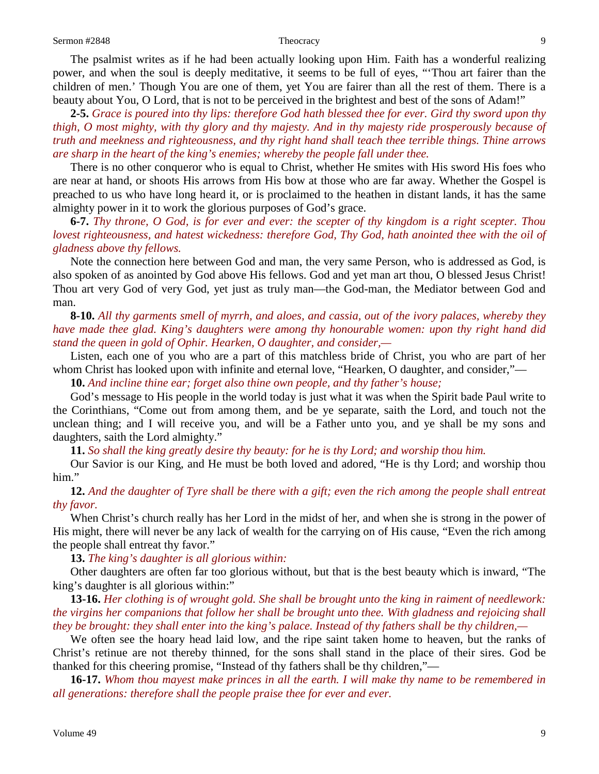The psalmist writes as if he had been actually looking upon Him. Faith has a wonderful realizing power, and when the soul is deeply meditative, it seems to be full of eyes, "'Thou art fairer than the children of men.' Though You are one of them, yet You are fairer than all the rest of them. There is a beauty about You, O Lord, that is not to be perceived in the brightest and best of the sons of Adam!"

**2-5.** *Grace is poured into thy lips: therefore God hath blessed thee for ever. Gird thy sword upon thy thigh, O most mighty, with thy glory and thy majesty. And in thy majesty ride prosperously because of truth and meekness and righteousness, and thy right hand shall teach thee terrible things. Thine arrows are sharp in the heart of the king's enemies; whereby the people fall under thee.*

There is no other conqueror who is equal to Christ, whether He smites with His sword His foes who are near at hand, or shoots His arrows from His bow at those who are far away. Whether the Gospel is preached to us who have long heard it, or is proclaimed to the heathen in distant lands, it has the same almighty power in it to work the glorious purposes of God's grace.

**6-7.** *Thy throne, O God, is for ever and ever: the scepter of thy kingdom is a right scepter. Thou lovest righteousness, and hatest wickedness: therefore God, Thy God, hath anointed thee with the oil of gladness above thy fellows.*

Note the connection here between God and man, the very same Person, who is addressed as God, is also spoken of as anointed by God above His fellows. God and yet man art thou, O blessed Jesus Christ! Thou art very God of very God, yet just as truly man—the God-man, the Mediator between God and man.

**8-10.** *All thy garments smell of myrrh, and aloes, and cassia, out of the ivory palaces, whereby they have made thee glad. King's daughters were among thy honourable women: upon thy right hand did stand the queen in gold of Ophir. Hearken, O daughter, and consider,—*

Listen, each one of you who are a part of this matchless bride of Christ, you who are part of her whom Christ has looked upon with infinite and eternal love, "Hearken, O daughter, and consider,"—

**10.** *And incline thine ear; forget also thine own people, and thy father's house;*

God's message to His people in the world today is just what it was when the Spirit bade Paul write to the Corinthians, "Come out from among them, and be ye separate, saith the Lord, and touch not the unclean thing; and I will receive you, and will be a Father unto you, and ye shall be my sons and daughters, saith the Lord almighty."

**11.** *So shall the king greatly desire thy beauty: for he is thy Lord; and worship thou him.*

Our Savior is our King, and He must be both loved and adored, "He is thy Lord; and worship thou him."

**12.** *And the daughter of Tyre shall be there with a gift; even the rich among the people shall entreat thy favor.*

When Christ's church really has her Lord in the midst of her, and when she is strong in the power of His might, there will never be any lack of wealth for the carrying on of His cause, "Even the rich among the people shall entreat thy favor."

**13.** *The king's daughter is all glorious within:*

Other daughters are often far too glorious without, but that is the best beauty which is inward, "The king's daughter is all glorious within:"

**13-16.** *Her clothing is of wrought gold. She shall be brought unto the king in raiment of needlework: the virgins her companions that follow her shall be brought unto thee. With gladness and rejoicing shall they be brought: they shall enter into the king's palace. Instead of thy fathers shall be thy children,—*

We often see the hoary head laid low, and the ripe saint taken home to heaven, but the ranks of Christ's retinue are not thereby thinned, for the sons shall stand in the place of their sires. God be thanked for this cheering promise, "Instead of thy fathers shall be thy children,"—

**16-17.** *Whom thou mayest make princes in all the earth. I will make thy name to be remembered in all generations: therefore shall the people praise thee for ever and ever.*